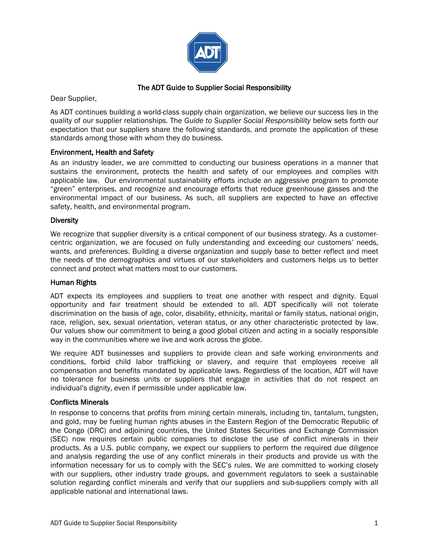

# The ADT Guide to Supplier Social Responsibility

Dear Supplier,

As ADT continues building a world-class supply chain organization, we believe our success lies in the quality of our supplier relationships. The *Guide to Supplier Social Responsibility* below sets forth our expectation that our suppliers share the following standards, and promote the application of these standards among those with whom they do business.

## Environment, Health and Safety

As an industry leader, we are committed to conducting our business operations in a manner that sustains the environment, protects the health and safety of our employees and complies with applicable law. Our environmental sustainability efforts include an aggressive program to promote "green" enterprises, and recognize and encourage efforts that reduce greenhouse gasses and the environmental impact of our business. As such, all suppliers are expected to have an effective safety, health, and environmental program.

#### **Diversity**

We recognize that supplier diversity is a critical component of our business strategy. As a customercentric organization, we are focused on fully understanding and exceeding our customers' needs, wants, and preferences. Building a diverse organization and supply base to better reflect and meet the needs of the demographics and virtues of our stakeholders and customers helps us to better connect and protect what matters most to our customers.

## Human Rights

ADT expects its employees and suppliers to treat one another with respect and dignity. Equal opportunity and fair treatment should be extended to all. ADT specifically will not tolerate discrimination on the basis of age, color, disability, ethnicity, marital or family status, national origin, race, religion, sex, sexual orientation, veteran status, or any other characteristic protected by law. Our values show our commitment to being a good global citizen and acting in a socially responsible way in the communities where we live and work across the globe.

We require ADT businesses and suppliers to provide clean and safe working environments and conditions, forbid child labor trafficking or slavery, and require that employees receive all compensation and benefits mandated by applicable laws. Regardless of the location, ADT will have no tolerance for business units or suppliers that engage in activities that do not respect an individual's dignity, even if permissible under applicable law.

## Conflicts Minerals

In response to concerns that profits from mining certain minerals, including tin, tantalum, tungsten, and gold, may be fueling human rights abuses in the Eastern Region of the Democratic Republic of the Congo (DRC) and adjoining countries, the United States Securities and Exchange Commission (SEC) now requires certain public companies to disclose the use of conflict minerals in their products. As a U.S. public company, we expect our suppliers to perform the required due diligence and analysis regarding the use of any conflict minerals in their products and provide us with the information necessary for us to comply with the SEC's rules. We are committed to working closely with our suppliers, other industry trade groups, and government regulators to seek a sustainable solution regarding conflict minerals and verify that our suppliers and sub-suppliers comply with all applicable national and international laws.